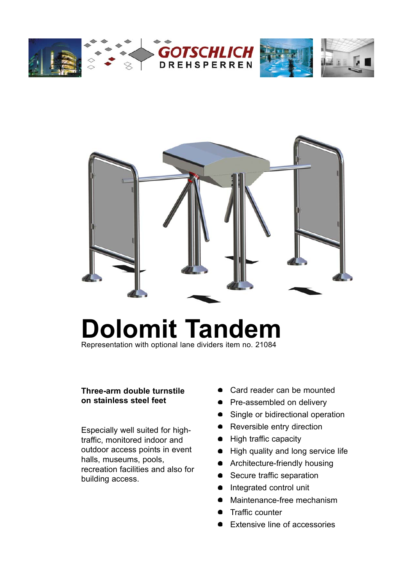



# **Dolomit Tandem**

Representation with optional lane dividers item no. 21084

#### **Three-arm double turnstile on stainless steel feet**

Especially well suited for hightraffic, monitored indoor and outdoor access points in event halls, museums, pools, recreation facilities and also for building access.

- Card reader can be mounted
- Pre-assembled on delivery
- Single or bidirectional operation
- Reversible entry direction
- High traffic capacity
- High quality and long service life
- **•** Architecture-friendly housing
- Secure traffic separation
- Integrated control unit
- Maintenance-free mechanism
- Traffic counter
- Extensive line of accessories